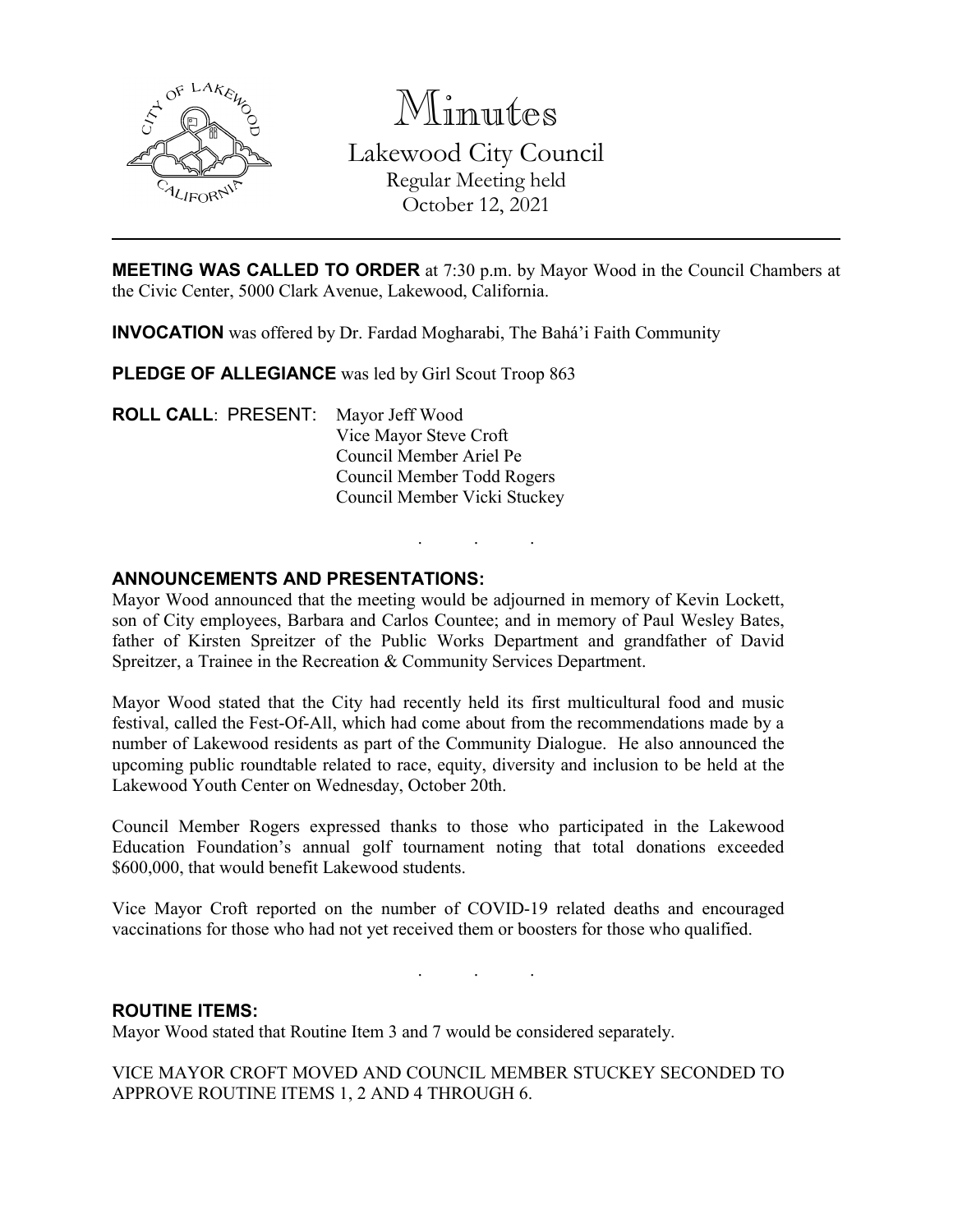

Minutes Lakewood City Council Regular Meeting held October 12, 2021

**MEETING WAS CALLED TO ORDER** at 7:30 p.m. by Mayor Wood in the Council Chambers at the Civic Center, 5000 Clark Avenue, Lakewood, California.

**INVOCATION** was offered by Dr. Fardad Mogharabi, The Bahá'i Faith Community

**PLEDGE OF ALLEGIANCE** was led by Girl Scout Troop 863

**ROLL CALL**: PRESENT: Mayor Jeff Wood Vice Mayor Steve Croft Council Member Ariel Pe Council Member Todd Rogers Council Member Vicki Stuckey

# **ANNOUNCEMENTS AND PRESENTATIONS:**

Mayor Wood announced that the meeting would be adjourned in memory of Kevin Lockett, son of City employees, Barbara and Carlos Countee; and in memory of Paul Wesley Bates, father of Kirsten Spreitzer of the Public Works Department and grandfather of David Spreitzer, a Trainee in the Recreation & Community Services Department.

. . .

Mayor Wood stated that the City had recently held its first multicultural food and music festival, called the Fest-Of-All, which had come about from the recommendations made by a number of Lakewood residents as part of the Community Dialogue. He also announced the upcoming public roundtable related to race, equity, diversity and inclusion to be held at the Lakewood Youth Center on Wednesday, October 20th.

Council Member Rogers expressed thanks to those who participated in the Lakewood Education Foundation's annual golf tournament noting that total donations exceeded \$600,000, that would benefit Lakewood students.

Vice Mayor Croft reported on the number of COVID-19 related deaths and encouraged vaccinations for those who had not yet received them or boosters for those who qualified.

. . .

### **ROUTINE ITEMS:**

Mayor Wood stated that Routine Item 3 and 7 would be considered separately.

VICE MAYOR CROFT MOVED AND COUNCIL MEMBER STUCKEY SECONDED TO APPROVE ROUTINE ITEMS 1, 2 AND 4 THROUGH 6.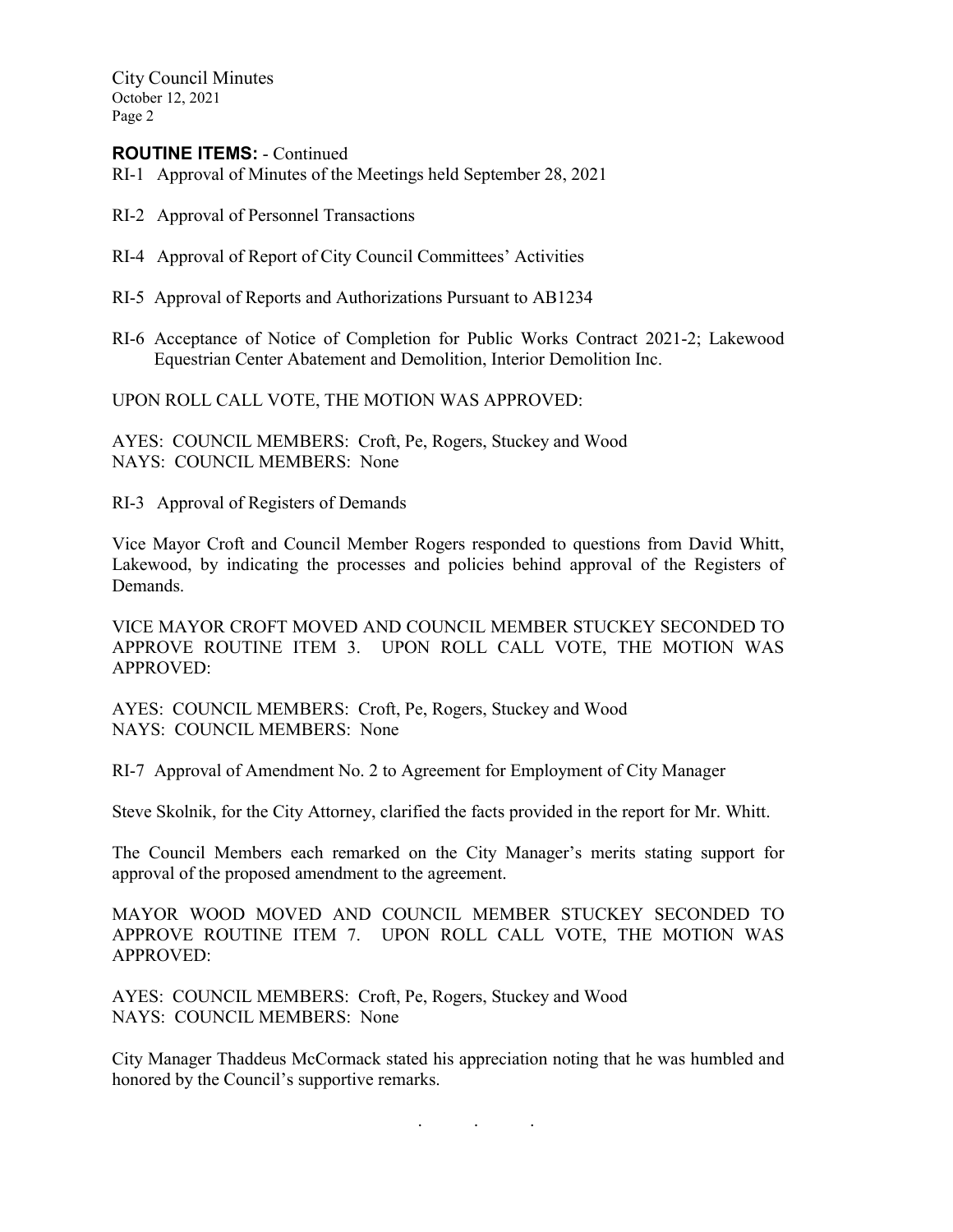City Council Minutes October 12, 2021 Page 2

### **ROUTINE ITEMS:** - Continued

- RI-1 Approval of Minutes of the Meetings held September 28, 2021
- RI-2 Approval of Personnel Transactions
- RI-4 Approval of Report of City Council Committees' Activities
- RI-5 Approval of Reports and Authorizations Pursuant to AB1234
- RI-6 Acceptance of Notice of Completion for Public Works Contract 2021-2; Lakewood Equestrian Center Abatement and Demolition, Interior Demolition Inc.

UPON ROLL CALL VOTE, THE MOTION WAS APPROVED:

AYES: COUNCIL MEMBERS: Croft, Pe, Rogers, Stuckey and Wood NAYS: COUNCIL MEMBERS: None

RI-3 Approval of Registers of Demands

Vice Mayor Croft and Council Member Rogers responded to questions from David Whitt, Lakewood, by indicating the processes and policies behind approval of the Registers of Demands.

VICE MAYOR CROFT MOVED AND COUNCIL MEMBER STUCKEY SECONDED TO APPROVE ROUTINE ITEM 3. UPON ROLL CALL VOTE, THE MOTION WAS APPROVED:

AYES: COUNCIL MEMBERS: Croft, Pe, Rogers, Stuckey and Wood NAYS: COUNCIL MEMBERS: None

RI-7 Approval of Amendment No. 2 to Agreement for Employment of City Manager

Steve Skolnik, for the City Attorney, clarified the facts provided in the report for Mr. Whitt.

The Council Members each remarked on the City Manager's merits stating support for approval of the proposed amendment to the agreement.

MAYOR WOOD MOVED AND COUNCIL MEMBER STUCKEY SECONDED TO APPROVE ROUTINE ITEM 7. UPON ROLL CALL VOTE, THE MOTION WAS APPROVED:

AYES: COUNCIL MEMBERS: Croft, Pe, Rogers, Stuckey and Wood NAYS: COUNCIL MEMBERS: None

City Manager Thaddeus McCormack stated his appreciation noting that he was humbled and honored by the Council's supportive remarks.

. . .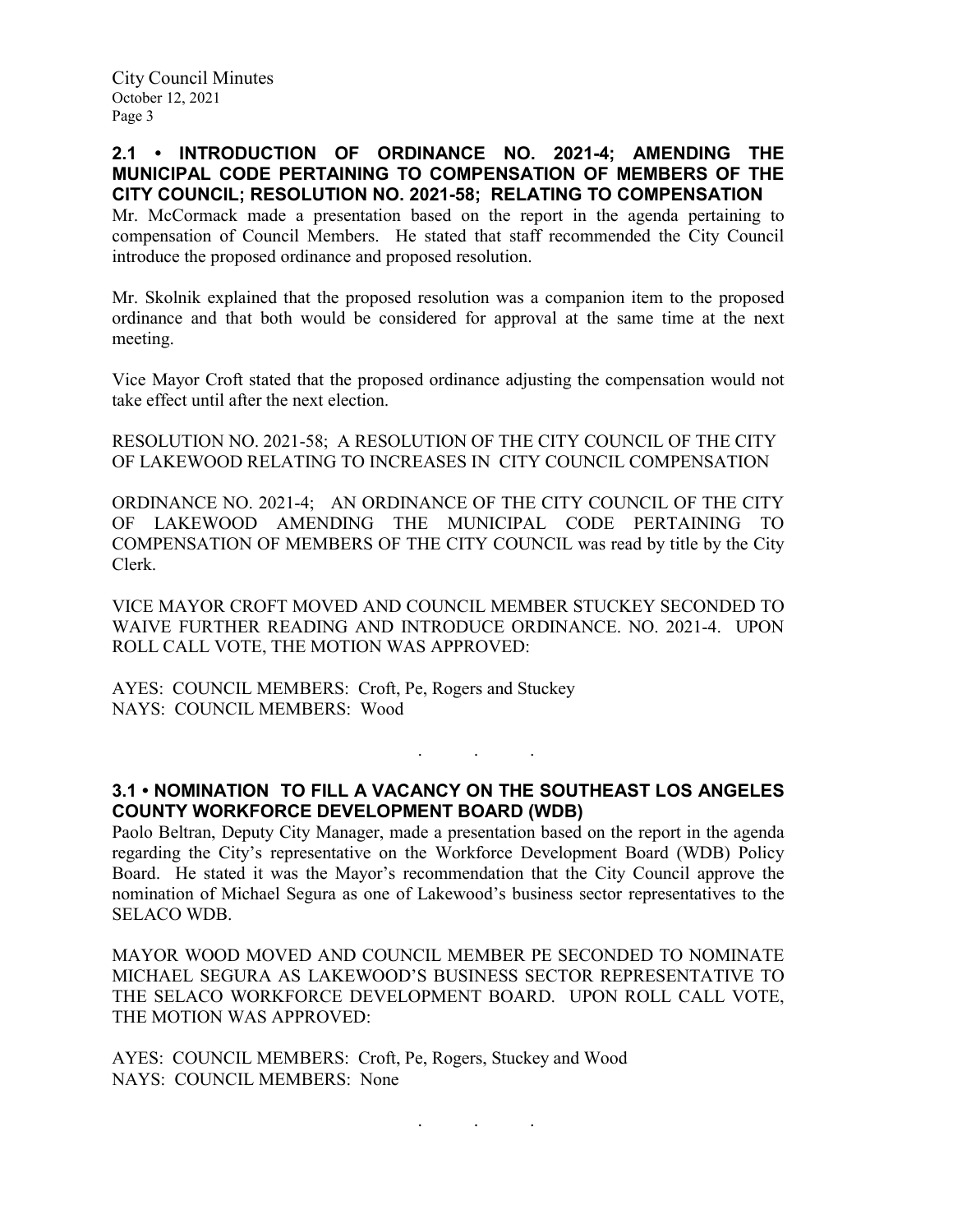### **2.1 • INTRODUCTION OF ORDINANCE NO. 2021-4; AMENDING THE MUNICIPAL CODE PERTAINING TO COMPENSATION OF MEMBERS OF THE CITY COUNCIL; RESOLUTION NO. 2021-58; RELATING TO COMPENSATION**

Mr. McCormack made a presentation based on the report in the agenda pertaining to compensation of Council Members. He stated that staff recommended the City Council introduce the proposed ordinance and proposed resolution.

Mr. Skolnik explained that the proposed resolution was a companion item to the proposed ordinance and that both would be considered for approval at the same time at the next meeting.

Vice Mayor Croft stated that the proposed ordinance adjusting the compensation would not take effect until after the next election.

RESOLUTION NO. 2021-58; A RESOLUTION OF THE CITY COUNCIL OF THE CITY OF LAKEWOOD RELATING TO INCREASES IN CITY COUNCIL COMPENSATION

ORDINANCE NO. 2021-4; AN ORDINANCE OF THE CITY COUNCIL OF THE CITY OF LAKEWOOD AMENDING THE MUNICIPAL CODE PERTAINING TO COMPENSATION OF MEMBERS OF THE CITY COUNCIL was read by title by the City Clerk.

VICE MAYOR CROFT MOVED AND COUNCIL MEMBER STUCKEY SECONDED TO WAIVE FURTHER READING AND INTRODUCE ORDINANCE. NO. 2021-4. UPON ROLL CALL VOTE, THE MOTION WAS APPROVED:

AYES: COUNCIL MEMBERS: Croft, Pe, Rogers and Stuckey NAYS: COUNCIL MEMBERS: Wood

**3.1 • NOMINATION TO FILL A VACANCY ON THE SOUTHEAST LOS ANGELES COUNTY WORKFORCE DEVELOPMENT BOARD (WDB)**

. . .

Paolo Beltran, Deputy City Manager, made a presentation based on the report in the agenda regarding the City's representative on the Workforce Development Board (WDB) Policy Board. He stated it was the Mayor's recommendation that the City Council approve the nomination of Michael Segura as one of Lakewood's business sector representatives to the SELACO WDB.

MAYOR WOOD MOVED AND COUNCIL MEMBER PE SECONDED TO NOMINATE MICHAEL SEGURA AS LAKEWOOD'S BUSINESS SECTOR REPRESENTATIVE TO THE SELACO WORKFORCE DEVELOPMENT BOARD. UPON ROLL CALL VOTE, THE MOTION WAS APPROVED:

AYES: COUNCIL MEMBERS: Croft, Pe, Rogers, Stuckey and Wood NAYS: COUNCIL MEMBERS: None

. . .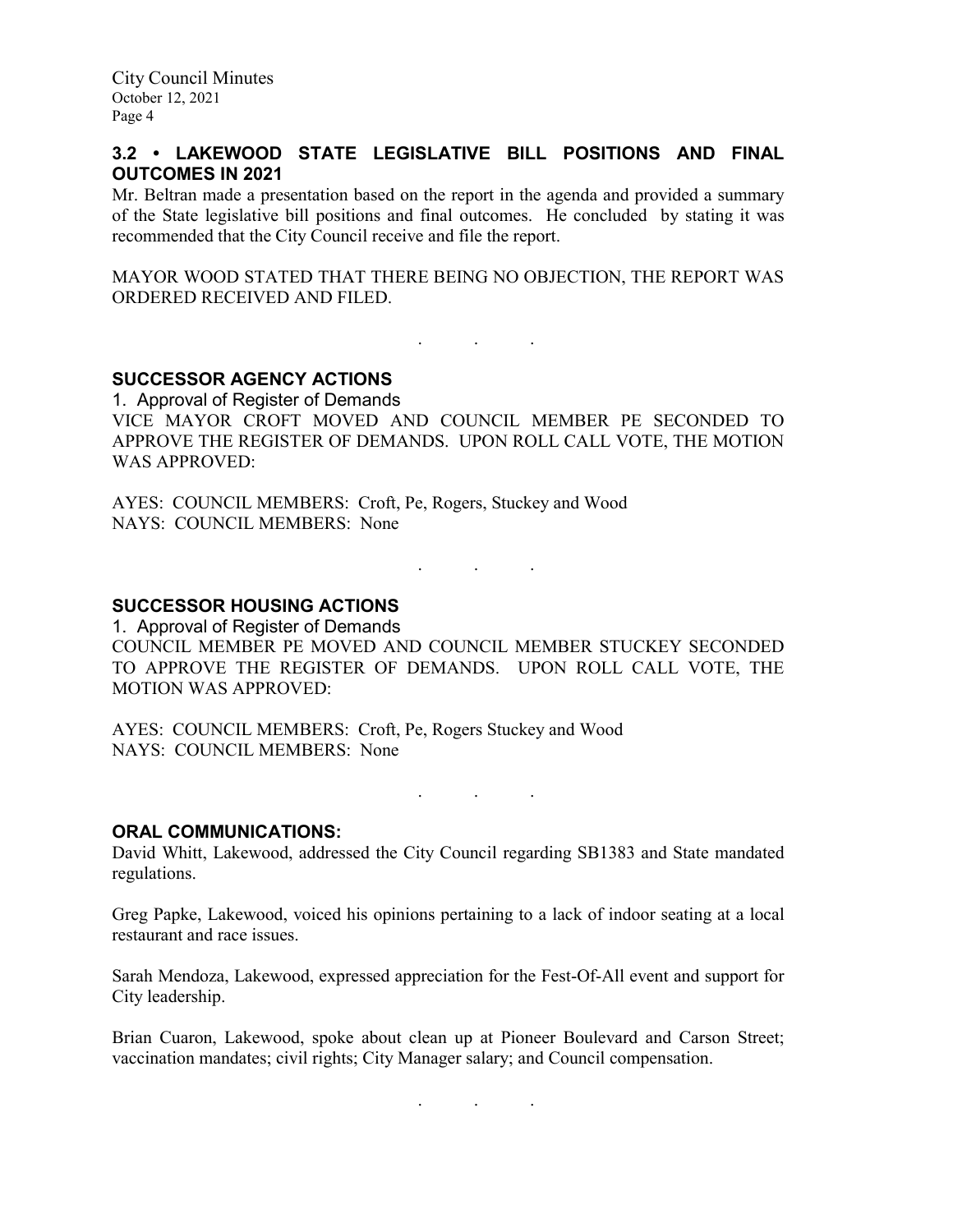# **3.2 • LAKEWOOD STATE LEGISLATIVE BILL POSITIONS AND FINAL OUTCOMES IN 2021**

Mr. Beltran made a presentation based on the report in the agenda and provided a summary of the State legislative bill positions and final outcomes. He concluded by stating it was recommended that the City Council receive and file the report.

MAYOR WOOD STATED THAT THERE BEING NO OBJECTION, THE REPORT WAS ORDERED RECEIVED AND FILED.

. As we have the set of  $\mathcal{A}$  , and  $\mathcal{A}$ 

# **SUCCESSOR AGENCY ACTIONS**

1. Approval of Register of Demands VICE MAYOR CROFT MOVED AND COUNCIL MEMBER PE SECONDED TO APPROVE THE REGISTER OF DEMANDS. UPON ROLL CALL VOTE, THE MOTION WAS APPROVED:

AYES: COUNCIL MEMBERS: Croft, Pe, Rogers, Stuckey and Wood NAYS: COUNCIL MEMBERS: None

# **SUCCESSOR HOUSING ACTIONS**

1. Approval of Register of Demands COUNCIL MEMBER PE MOVED AND COUNCIL MEMBER STUCKEY SECONDED TO APPROVE THE REGISTER OF DEMANDS. UPON ROLL CALL VOTE, THE MOTION WAS APPROVED:

. . .

AYES: COUNCIL MEMBERS: Croft, Pe, Rogers Stuckey and Wood NAYS: COUNCIL MEMBERS: None

. . .

# **ORAL COMMUNICATIONS:**

David Whitt, Lakewood, addressed the City Council regarding SB1383 and State mandated regulations.

Greg Papke, Lakewood, voiced his opinions pertaining to a lack of indoor seating at a local restaurant and race issues.

Sarah Mendoza, Lakewood, expressed appreciation for the Fest-Of-All event and support for City leadership.

Brian Cuaron, Lakewood, spoke about clean up at Pioneer Boulevard and Carson Street; vaccination mandates; civil rights; City Manager salary; and Council compensation.

. . .